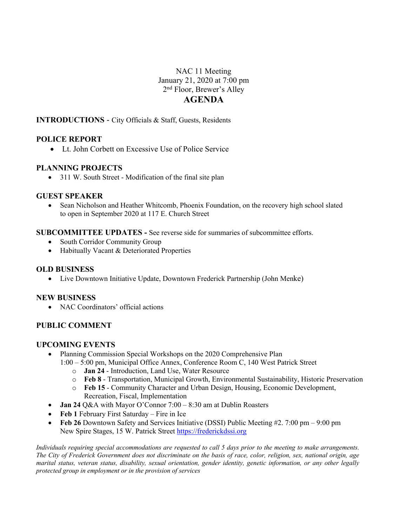# NAC 11 Meeting January 21, 2020 at 7:00 pm 2nd Floor, Brewer's Alley **AGENDA**

### **INTRODUCTIONS** - City Officials & Staff, Guests, Residents

## **POLICE REPORT**

• Lt. John Corbett on Excessive Use of Police Service

## **PLANNING PROJECTS**

• 311 W. South Street - Modification of the final site plan

### **GUEST SPEAKER**

• Sean Nicholson and Heather Whitcomb, Phoenix Foundation, on the recovery high school slated to open in September 2020 at 117 E. Church Street

### **SUBCOMMITTEE UPDATES -** See reverse side for summaries of subcommittee efforts.

- South Corridor Community Group
- Habitually Vacant & Deteriorated Properties

### **OLD BUSINESS**

• Live Downtown Initiative Update, Downtown Frederick Partnership (John Menke)

### **NEW BUSINESS**

• NAC Coordinators' official actions

## **PUBLIC COMMENT**

### **UPCOMING EVENTS**

- Planning Commission Special Workshops on the 2020 Comprehensive Plan 1:00 – 5:00 pm, Municipal Office Annex, Conference Room C, 140 West Patrick Street
	- o **Jan 24** Introduction, Land Use, Water Resource
	- o **Feb 8** Transportation, Municipal Growth, Environmental Sustainability, Historic Preservation
	- o **Feb 15** Community Character and Urban Design, Housing, Economic Development, Recreation, Fiscal, Implementation
- **Jan 24 Q&A** with Mayor O'Connor 7:00 8:30 am at Dublin Roasters
- **Feb 1** February First Saturday Fire in Ice
- **Feb 26** Downtown Safety and Services Initiative (DSSI) Public Meeting #2. 7:00 pm 9:00 pm New Spire Stages, 15 W. Patrick Street https://frederickdssi.org

*Individuals requiring special accommodations are requested to call 5 days prior to the meeting to make arrangements. The City of Frederick Government does not discriminate on the basis of race, color, religion, sex, national origin, age marital status, veteran status, disability, sexual orientation, gender identity, genetic information, or any other legally protected group in employment or in the provision of services*